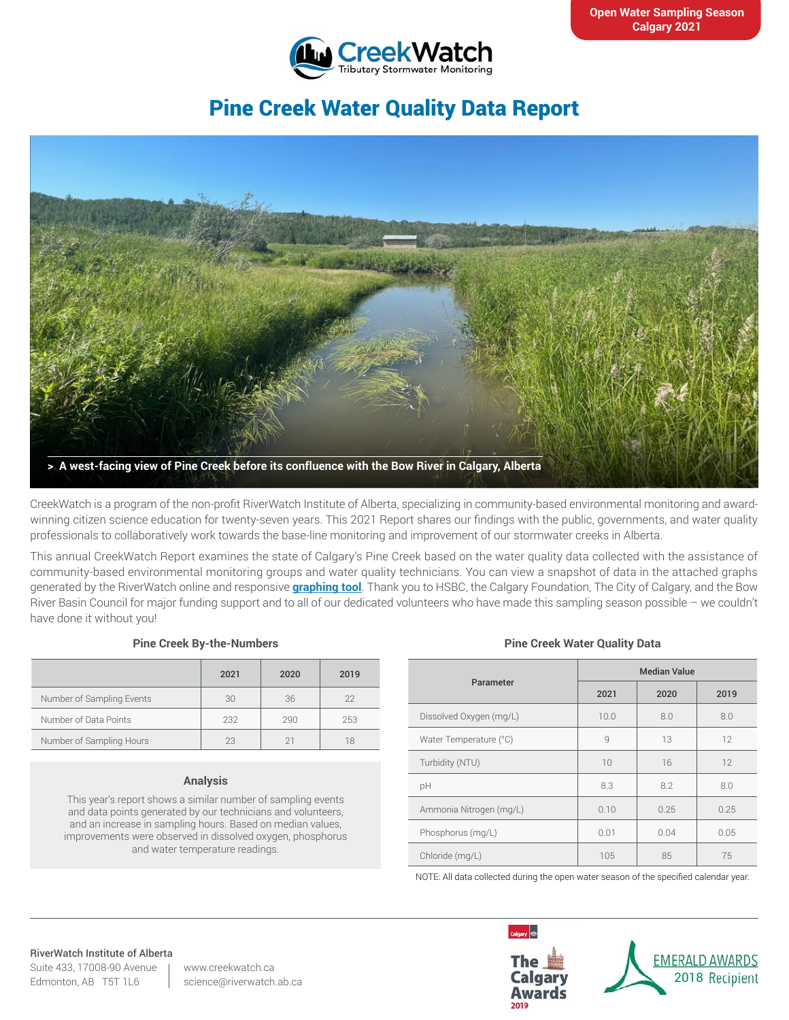

# Pine Creek Water Quality Data Report



CreekWatch is a program of the non-profit RiverWatch Institute of Alberta, specializing in community-based environmental monitoring and awardwinning citizen science education for twenty-seven years. This 2021 Report shares our findings with the public, governments, and water quality professionals to collaboratively work towards the base-line monitoring and improvement of our stormwater creeks in Alberta.

This annual CreekWatch Report examines the state of Calgary's Pine Creek based on the water quality data collected with the assistance of community-based environmental monitoring groups and water quality technicians. You can view a snapshot of data in the attached graphs generated by the RiverWatch online and responsive **[graphing tool](http://www.riverwatch.ab.ca/index.php/science/data)**. Thank you to HSBC, the Calgary Foundation, The City of Calgary, and the Bow River Basin Council for major funding support and to all of our dedicated volunteers who have made this sampling season possible – we couldn't have done it without you!

#### **Pine Creek By-the-Numbers**

|                           | 2021 | 2020 | 2019 |
|---------------------------|------|------|------|
| Number of Sampling Events | 30   | 36   | 22   |
| Number of Data Points     | 232  | 290  | 253  |
| Number of Sampling Hours  | 23   |      |      |

### **Analysis**

This year's report shows a similar number of sampling events and data points generated by our technicians and volunteers, and an increase in sampling hours. Based on median values, improvements were observed in dissolved oxygen, phosphorus and water temperature readings.

### **Pine Creek Water Quality Data**

| Parameter               | <b>Median Value</b> |      |      |
|-------------------------|---------------------|------|------|
|                         | 2021                | 2020 | 2019 |
| Dissolved Oxygen (mg/L) | 10.0                | 8.0  | 8.0  |
| Water Temperature (°C)  | $\mathcal{Q}$       | 13   | 12   |
| Turbidity (NTU)         | 10                  | 16   | 12   |
| рH                      | 8.3                 | 8.2  | 8.0  |
| Ammonia Nitrogen (mg/L) | 0.10                | 0.25 | 0.25 |
| Phosphorus (mg/L)       | 0.01                | 0.04 | 0.05 |
| Chloride (mg/L)         | 105                 | 85   | 75   |

NOTE: All data collected during the open water season of the specified calendar year.

#### RiverWatch Institute of Alberta

Suite 433, 17008-90 Avenue Edmonton, AB T5T 1L6

www.creekwatch.ca science@riverwatch.ab.ca